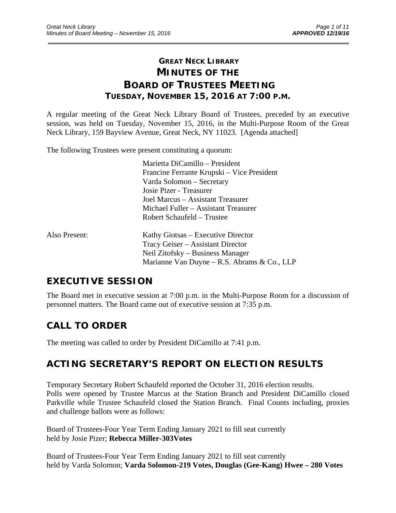# **GREAT NECK LIBRARY MINUTES OF THE BOARD OF TRUSTEES MEETING TUESDAY, NOVEMBER 15, 2016 AT 7:00 P.M.**

\_\_\_\_\_\_\_\_\_\_\_\_\_\_\_\_\_\_\_\_\_\_\_\_\_\_\_\_\_\_\_\_\_\_\_\_\_\_\_\_\_\_\_\_\_\_\_\_\_\_\_\_\_\_\_\_\_\_\_\_\_\_\_\_\_\_\_\_\_\_\_\_\_\_\_\_\_\_\_\_\_\_\_\_\_\_\_\_\_\_\_\_\_

A regular meeting of the Great Neck Library Board of Trustees, preceded by an executive session, was held on Tuesday, November 15, 2016, in the Multi-Purpose Room of the Great Neck Library, 159 Bayview Avenue, Great Neck, NY 11023. [Agenda attached]

The following Trustees were present constituting a quorum:

 Marietta DiCamillo – President Francine Ferrante Krupski – Vice President Varda Solomon – Secretary Josie Pizer - Treasurer Joel Marcus – Assistant Treasurer Michael Fuller – Assistant Treasurer Robert Schaufeld – Trustee

| Also Present: | Kathy Giotsas – Executive Director             |
|---------------|------------------------------------------------|
|               | Tracy Geiser – Assistant Director              |
|               | Neil Zitofsky – Business Manager               |
|               | Marianne Van Duyne – R.S. Abrams $\&$ Co., LLP |

# **EXECUTIVE SESSION**

The Board met in executive session at 7:00 p.m. in the Multi-Purpose Room for a discussion of personnel matters. The Board came out of executive session at 7:35 p.m.

# **CALL TO ORDER**

The meeting was called to order by President DiCamillo at 7:41 p.m.

# **ACTING SECRETARY'S REPORT ON ELECTION RESULTS**

Temporary Secretary Robert Schaufeld reported the October 31, 2016 election results. Polls were opened by Trustee Marcus at the Station Branch and President DiCamillo closed Parkville while Trustee Schaufeld closed the Station Branch. Final Counts including, proxies and challenge ballots were as follows:

Board of Trustees-Four Year Term Ending January 2021 to fill seat currently held by Josie Pizer; **Rebecca Miller-303Votes** 

Board of Trustees-Four Year Term Ending January 2021 to fill seat currently held by Varda Solomon; **Varda Solomon-219 Votes, Douglas (Gee-Kang) Hwee – 280 Votes**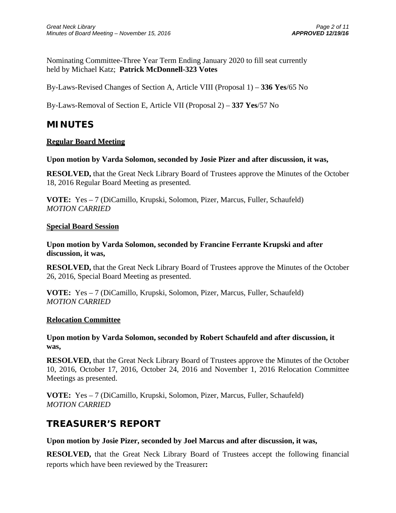Nominating Committee-Three Year Term Ending January 2020 to fill seat currently held by Michael Katz; **Patrick McDonnell-323 Votes** 

By-Laws-Revised Changes of Section A, Article VIII (Proposal 1) – **336 Yes**/65 No

By-Laws-Removal of Section E, Article VII (Proposal 2) – **337 Yes**/57 No

## **MINUTES**

### **Regular Board Meeting**

### **Upon motion by Varda Solomon, seconded by Josie Pizer and after discussion, it was,**

**RESOLVED,** that the Great Neck Library Board of Trustees approve the Minutes of the October 18, 2016 Regular Board Meeting as presented.

**VOTE:** Yes – 7 (DiCamillo, Krupski, Solomon, Pizer, Marcus, Fuller, Schaufeld) *MOTION CARRIED* 

### **Special Board Session**

**Upon motion by Varda Solomon, seconded by Francine Ferrante Krupski and after discussion, it was,** 

**RESOLVED,** that the Great Neck Library Board of Trustees approve the Minutes of the October 26, 2016, Special Board Meeting as presented.

**VOTE:** Yes – 7 (DiCamillo, Krupski, Solomon, Pizer, Marcus, Fuller, Schaufeld) *MOTION CARRIED* 

### **Relocation Committee**

### **Upon motion by Varda Solomon, seconded by Robert Schaufeld and after discussion, it was,**

**RESOLVED,** that the Great Neck Library Board of Trustees approve the Minutes of the October 10, 2016, October 17, 2016, October 24, 2016 and November 1, 2016 Relocation Committee Meetings as presented.

**VOTE:** Yes – 7 (DiCamillo, Krupski, Solomon, Pizer, Marcus, Fuller, Schaufeld) *MOTION CARRIED* 

## **TREASURER'S REPORT**

### **Upon motion by Josie Pizer, seconded by Joel Marcus and after discussion, it was,**

**RESOLVED,** that the Great Neck Library Board of Trustees accept the following financial reports which have been reviewed by the Treasurer**:**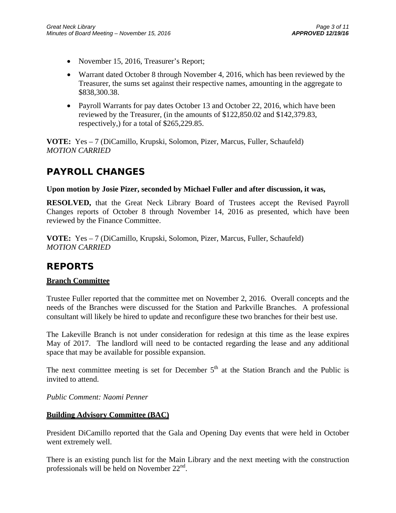- November 15, 2016, Treasurer's Report;
- Warrant dated October 8 through November 4, 2016, which has been reviewed by the Treasurer, the sums set against their respective names, amounting in the aggregate to \$838,300.38.
- Payroll Warrants for pay dates October 13 and October 22, 2016, which have been reviewed by the Treasurer, (in the amounts of \$122,850.02 and \$142,379.83, respectively,) for a total of \$265,229.85.

**VOTE:** Yes – 7 (DiCamillo, Krupski, Solomon, Pizer, Marcus, Fuller, Schaufeld) *MOTION CARRIED* 

# **PAYROLL CHANGES**

### **Upon motion by Josie Pizer, seconded by Michael Fuller and after discussion, it was,**

**RESOLVED,** that the Great Neck Library Board of Trustees accept the Revised Payroll Changes reports of October 8 through November 14, 2016 as presented, which have been reviewed by the Finance Committee.

**VOTE:** Yes – 7 (DiCamillo, Krupski, Solomon, Pizer, Marcus, Fuller, Schaufeld) *MOTION CARRIED* 

## **REPORTS**

### **Branch Committee**

Trustee Fuller reported that the committee met on November 2, 2016. Overall concepts and the needs of the Branches were discussed for the Station and Parkville Branches. A professional consultant will likely be hired to update and reconfigure these two branches for their best use.

The Lakeville Branch is not under consideration for redesign at this time as the lease expires May of 2017. The landlord will need to be contacted regarding the lease and any additional space that may be available for possible expansion.

The next committee meeting is set for December  $5<sup>th</sup>$  at the Station Branch and the Public is invited to attend.

### *Public Comment: Naomi Penner*

### **Building Advisory Committee (BAC)**

President DiCamillo reported that the Gala and Opening Day events that were held in October went extremely well.

There is an existing punch list for the Main Library and the next meeting with the construction professionals will be held on November  $22<sup>nd</sup>$ .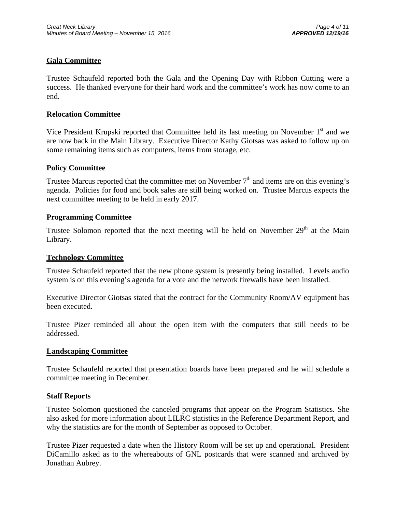### **Gala Committee**

Trustee Schaufeld reported both the Gala and the Opening Day with Ribbon Cutting were a success. He thanked everyone for their hard work and the committee's work has now come to an end.

### **Relocation Committee**

Vice President Krupski reported that Committee held its last meeting on November  $1<sup>st</sup>$  and we are now back in the Main Library. Executive Director Kathy Giotsas was asked to follow up on some remaining items such as computers, items from storage, etc.

### **Policy Committee**

Trustee Marcus reported that the committee met on November  $7<sup>th</sup>$  and items are on this evening's agenda. Policies for food and book sales are still being worked on. Trustee Marcus expects the next committee meeting to be held in early 2017.

### **Programming Committee**

Trustee Solomon reported that the next meeting will be held on November  $29<sup>th</sup>$  at the Main Library.

### **Technology Committee**

Trustee Schaufeld reported that the new phone system is presently being installed. Levels audio system is on this evening's agenda for a vote and the network firewalls have been installed.

Executive Director Giotsas stated that the contract for the Community Room/AV equipment has been executed.

Trustee Pizer reminded all about the open item with the computers that still needs to be addressed.

### **Landscaping Committee**

Trustee Schaufeld reported that presentation boards have been prepared and he will schedule a committee meeting in December.

### **Staff Reports**

Trustee Solomon questioned the canceled programs that appear on the Program Statistics. She also asked for more information about LILRC statistics in the Reference Department Report, and why the statistics are for the month of September as opposed to October.

Trustee Pizer requested a date when the History Room will be set up and operational. President DiCamillo asked as to the whereabouts of GNL postcards that were scanned and archived by Jonathan Aubrey.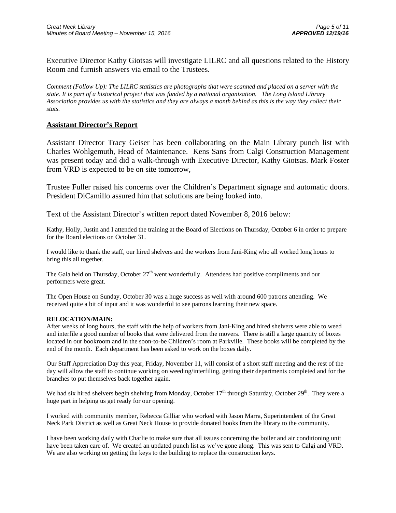Executive Director Kathy Giotsas will investigate LILRC and all questions related to the History Room and furnish answers via email to the Trustees.

*Comment (Follow Up): The LILRC statistics are photographs that were scanned and placed on a server with the state. It is part of a historical project that was funded by a national organization. The Long Island Library Association provides us with the statistics and they are always a month behind as this is the way they collect their stats.* 

### **Assistant Director's Report**

Assistant Director Tracy Geiser has been collaborating on the Main Library punch list with Charles Wohlgemuth, Head of Maintenance. Kens Sans from Calgi Construction Management was present today and did a walk-through with Executive Director, Kathy Giotsas. Mark Foster from VRD is expected to be on site tomorrow,

Trustee Fuller raised his concerns over the Children's Department signage and automatic doors. President DiCamillo assured him that solutions are being looked into.

Text of the Assistant Director's written report dated November 8, 2016 below:

Kathy, Holly, Justin and I attended the training at the Board of Elections on Thursday, October 6 in order to prepare for the Board elections on October 31.

I would like to thank the staff, our hired shelvers and the workers from Jani-King who all worked long hours to bring this all together.

The Gala held on Thursday, October  $27<sup>th</sup>$  went wonderfully. Attendees had positive compliments and our performers were great.

The Open House on Sunday, October 30 was a huge success as well with around 600 patrons attending. We received quite a bit of input and it was wonderful to see patrons learning their new space.

#### **RELOCATION/MAIN:**

After weeks of long hours, the staff with the help of workers from Jani-King and hired shelvers were able to weed and interfile a good number of books that were delivered from the movers. There is still a large quantity of boxes located in our bookroom and in the soon-to-be Children's room at Parkville. These books will be completed by the end of the month. Each department has been asked to work on the boxes daily.

Our Staff Appreciation Day this year, Friday, November 11, will consist of a short staff meeting and the rest of the day will allow the staff to continue working on weeding/interfiling, getting their departments completed and for the branches to put themselves back together again.

We had six hired shelvers begin shelving from Monday, October  $17<sup>th</sup>$  through Saturday, October  $29<sup>th</sup>$ . They were a huge part in helping us get ready for our opening.

I worked with community member, Rebecca Gilliar who worked with Jason Marra, Superintendent of the Great Neck Park District as well as Great Neck House to provide donated books from the library to the community.

I have been working daily with Charlie to make sure that all issues concerning the boiler and air conditioning unit have been taken care of. We created an updated punch list as we've gone along. This was sent to Calgi and VRD. We are also working on getting the keys to the building to replace the construction keys.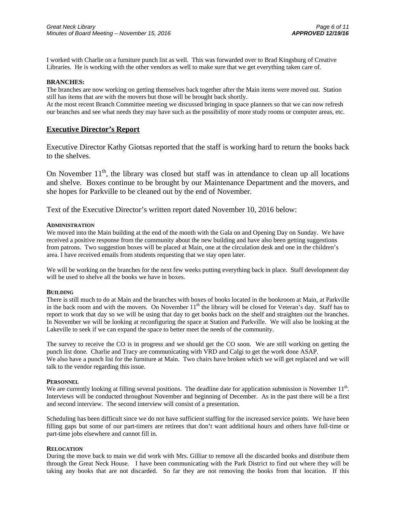I worked with Charlie on a furniture punch list as well. This was forwarded over to Brad Kingsburg of Creative Libraries. He is working with the other vendors as well to make sure that we get everything taken care of.

#### **BRANCHES:**

The branches are now working on getting themselves back together after the Main items were moved out. Station still has items that are with the movers but those will be brought back shortly. At the most recent Branch Committee meeting we discussed bringing in space planners so that we can now refresh our branches and see what needs they may have such as the possibility of more study rooms or computer areas, etc.

**Executive Director's Report** 

Executive Director Kathy Giotsas reported that the staff is working hard to return the books back to the shelves.

On November  $11<sup>th</sup>$ , the library was closed but staff was in attendance to clean up all locations and shelve. Boxes continue to be brought by our Maintenance Department and the movers, and she hopes for Parkville to be cleaned out by the end of November.

Text of the Executive Director's written report dated November 10, 2016 below:

#### **ADMINISTRATION**

We moved into the Main building at the end of the month with the Gala on and Opening Day on Sunday. We have received a positive response from the community about the new building and have also been getting suggestions from patrons. Two suggestion boxes will be placed at Main, one at the circulation desk and one in the children's area. I have received emails from students requesting that we stay open later.

We will be working on the branches for the next few weeks putting everything back in place. Staff development day will be used to shelve all the books we have in boxes.

#### **BUILDING**

There is still much to do at Main and the branches with boxes of books located in the bookroom at Main, at Parkville in the back room and with the movers. On November  $11<sup>th</sup>$  the library will be closed for Veteran's day. Staff has to report to work that day so we will be using that day to get books back on the shelf and straighten out the branches. In November we will be looking at reconfiguring the space at Station and Parkville. We will also be looking at the Lakeville to seek if we can expand the space to better meet the needs of the community.

The survey to receive the CO is in progress and we should get the CO soon. We are still working on getting the punch list done. Charlie and Tracy are communicating with VRD and Calgi to get the work done ASAP. We also have a punch list for the furniture at Main. Two chairs have broken which we will get replaced and we will talk to the vendor regarding this issue.

#### **PERSONNEL**

We are currently looking at filling several positions. The deadline date for application submission is November  $11<sup>th</sup>$ . Interviews will be conducted throughout November and beginning of December. As in the past there will be a first and second interview. The second interview will consist of a presentation.

Scheduling has been difficult since we do not have sufficient staffing for the increased service points. We have been filling gaps but some of our part-timers are retirees that don't want additional hours and others have full-time or part-time jobs elsewhere and cannot fill in.

#### **RELOCATION**

During the move back to main we did work with Mrs. Gilliar to remove all the discarded books and distribute them through the Great Neck House. I have been communicating with the Park District to find out where they will be taking any books that are not discarded. So far they are not removing the books from that location. If this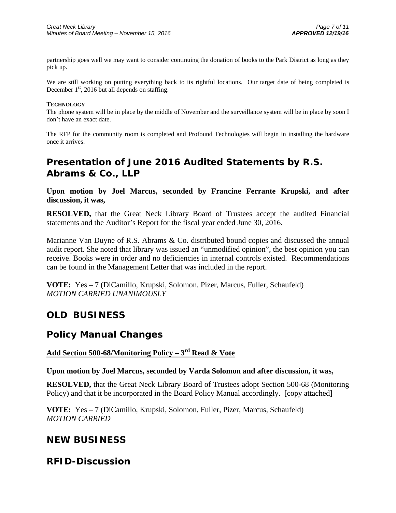partnership goes well we may want to consider continuing the donation of books to the Park District as long as they pick up.

We are still working on putting everything back to its rightful locations. Our target date of being completed is December  $1<sup>st</sup>$ , 2016 but all depends on staffing.

#### **TECHNOLOGY**

The phone system will be in place by the middle of November and the surveillance system will be in place by soon I don't have an exact date.

The RFP for the community room is completed and Profound Technologies will begin in installing the hardware once it arrives.

# **Presentation of June 2016 Audited Statements by R.S. Abrams & Co., LLP**

**Upon motion by Joel Marcus, seconded by Francine Ferrante Krupski, and after discussion, it was,** 

**RESOLVED,** that the Great Neck Library Board of Trustees accept the audited Financial statements and the Auditor's Report for the fiscal year ended June 30, 2016.

Marianne Van Duyne of R.S. Abrams & Co. distributed bound copies and discussed the annual audit report. She noted that library was issued an "unmodified opinion", the best opinion you can receive. Books were in order and no deficiencies in internal controls existed. Recommendations can be found in the Management Letter that was included in the report.

**VOTE:** Yes – 7 (DiCamillo, Krupski, Solomon, Pizer, Marcus, Fuller, Schaufeld) *MOTION CARRIED UNANIMOUSLY* 

## **OLD BUSINESS**

## **Policy Manual Changes**

### **Add Section 500-68/Monitoring Policy – 3rd Read & Vote**

**Upon motion by Joel Marcus, seconded by Varda Solomon and after discussion, it was,** 

**RESOLVED,** that the Great Neck Library Board of Trustees adopt Section 500-68 (Monitoring Policy) and that it be incorporated in the Board Policy Manual accordingly. [copy attached]

**VOTE:** Yes – 7 (DiCamillo, Krupski, Solomon, Fuller, Pizer, Marcus, Schaufeld) *MOTION CARRIED* 

## **NEW BUSINESS**

## **RFID-Discussion**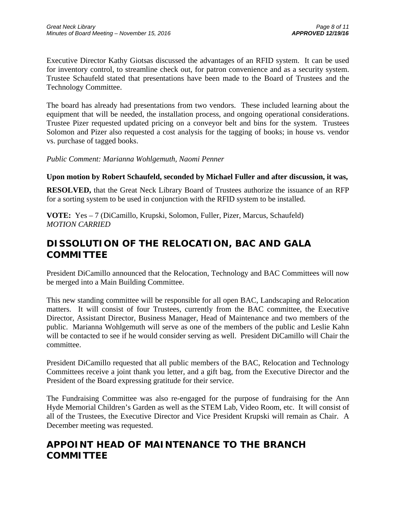Executive Director Kathy Giotsas discussed the advantages of an RFID system. It can be used for inventory control, to streamline check out, for patron convenience and as a security system. Trustee Schaufeld stated that presentations have been made to the Board of Trustees and the Technology Committee.

The board has already had presentations from two vendors. These included learning about the equipment that will be needed, the installation process, and ongoing operational considerations. Trustee Pizer requested updated pricing on a conveyor belt and bins for the system. Trustees Solomon and Pizer also requested a cost analysis for the tagging of books; in house vs. vendor vs. purchase of tagged books.

### *Public Comment: Marianna Wohlgemuth, Naomi Penner*

### **Upon motion by Robert Schaufeld, seconded by Michael Fuller and after discussion, it was,**

**RESOLVED,** that the Great Neck Library Board of Trustees authorize the issuance of an RFP for a sorting system to be used in conjunction with the RFID system to be installed.

**VOTE:** Yes – 7 (DiCamillo, Krupski, Solomon, Fuller, Pizer, Marcus, Schaufeld) *MOTION CARRIED* 

# **DISSOLUTION OF THE RELOCATION, BAC AND GALA COMMITTEE**

President DiCamillo announced that the Relocation, Technology and BAC Committees will now be merged into a Main Building Committee.

This new standing committee will be responsible for all open BAC, Landscaping and Relocation matters. It will consist of four Trustees, currently from the BAC committee, the Executive Director, Assistant Director, Business Manager, Head of Maintenance and two members of the public. Marianna Wohlgemuth will serve as one of the members of the public and Leslie Kahn will be contacted to see if he would consider serving as well. President DiCamillo will Chair the committee.

President DiCamillo requested that all public members of the BAC, Relocation and Technology Committees receive a joint thank you letter, and a gift bag, from the Executive Director and the President of the Board expressing gratitude for their service.

The Fundraising Committee was also re-engaged for the purpose of fundraising for the Ann Hyde Memorial Children's Garden as well as the STEM Lab, Video Room, etc. It will consist of all of the Trustees, the Executive Director and Vice President Krupski will remain as Chair. A December meeting was requested.

## **APPOINT HEAD OF MAINTENANCE TO THE BRANCH COMMITTEE**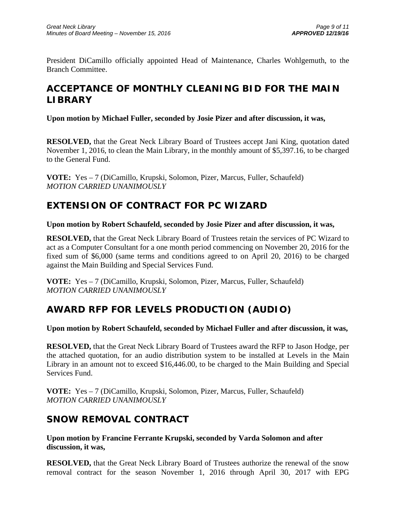President DiCamillo officially appointed Head of Maintenance, Charles Wohlgemuth, to the Branch Committee.

# **ACCEPTANCE OF MONTHLY CLEANING BID FOR THE MAIN LIBRARY**

**Upon motion by Michael Fuller, seconded by Josie Pizer and after discussion, it was,** 

**RESOLVED,** that the Great Neck Library Board of Trustees accept Jani King, quotation dated November 1, 2016, to clean the Main Library, in the monthly amount of \$5,397.16, to be charged to the General Fund.

**VOTE:** Yes – 7 (DiCamillo, Krupski, Solomon, Pizer, Marcus, Fuller, Schaufeld) *MOTION CARRIED UNANIMOUSLY* 

# **EXTENSION OF CONTRACT FOR PC WIZARD**

### **Upon motion by Robert Schaufeld, seconded by Josie Pizer and after discussion, it was,**

**RESOLVED,** that the Great Neck Library Board of Trustees retain the services of PC Wizard to act as a Computer Consultant for a one month period commencing on November 20, 2016 for the fixed sum of \$6,000 (same terms and conditions agreed to on April 20, 2016) to be charged against the Main Building and Special Services Fund.

**VOTE:** Yes – 7 (DiCamillo, Krupski, Solomon, Pizer, Marcus, Fuller, Schaufeld) *MOTION CARRIED UNANIMOUSLY* 

# **AWARD RFP FOR LEVELS PRODUCTION (AUDIO)**

## **Upon motion by Robert Schaufeld, seconded by Michael Fuller and after discussion, it was,**

**RESOLVED,** that the Great Neck Library Board of Trustees award the RFP to Jason Hodge, per the attached quotation, for an audio distribution system to be installed at Levels in the Main Library in an amount not to exceed \$16,446.00, to be charged to the Main Building and Special Services Fund.

**VOTE:** Yes – 7 (DiCamillo, Krupski, Solomon, Pizer, Marcus, Fuller, Schaufeld) *MOTION CARRIED UNANIMOUSLY* 

# **SNOW REMOVAL CONTRACT**

**Upon motion by Francine Ferrante Krupski, seconded by Varda Solomon and after discussion, it was,** 

**RESOLVED,** that the Great Neck Library Board of Trustees authorize the renewal of the snow removal contract for the season November 1, 2016 through April 30, 2017 with EPG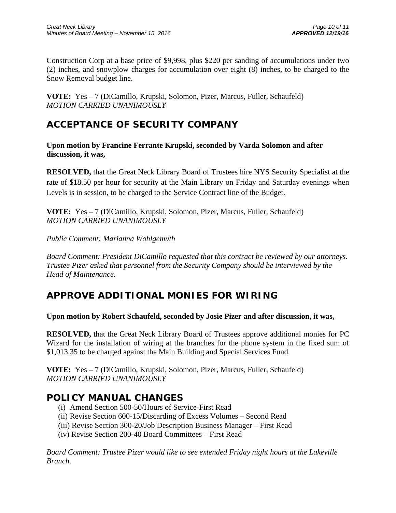Construction Corp at a base price of \$9,998, plus \$220 per sanding of accumulations under two (2) inches, and snowplow charges for accumulation over eight (8) inches, to be charged to the Snow Removal budget line.

**VOTE:** Yes – 7 (DiCamillo, Krupski, Solomon, Pizer, Marcus, Fuller, Schaufeld) *MOTION CARRIED UNANIMOUSLY* 

# **ACCEPTANCE OF SECURITY COMPANY**

**Upon motion by Francine Ferrante Krupski, seconded by Varda Solomon and after discussion, it was,** 

**RESOLVED,** that the Great Neck Library Board of Trustees hire NYS Security Specialist at the rate of \$18.50 per hour for security at the Main Library on Friday and Saturday evenings when Levels is in session, to be charged to the Service Contract line of the Budget.

**VOTE:** Yes – 7 (DiCamillo, Krupski, Solomon, Pizer, Marcus, Fuller, Schaufeld) *MOTION CARRIED UNANIMOUSLY* 

*Public Comment: Marianna Wohlgemuth* 

*Board Comment: President DiCamillo requested that this contract be reviewed by our attorneys. Trustee Pizer asked that personnel from the Security Company should be interviewed by the Head of Maintenance.* 

# **APPROVE ADDITIONAL MONIES FOR WIRING**

### **Upon motion by Robert Schaufeld, seconded by Josie Pizer and after discussion, it was,**

**RESOLVED,** that the Great Neck Library Board of Trustees approve additional monies for PC Wizard for the installation of wiring at the branches for the phone system in the fixed sum of \$1,013.35 to be charged against the Main Building and Special Services Fund.

**VOTE:** Yes – 7 (DiCamillo, Krupski, Solomon, Pizer, Marcus, Fuller, Schaufeld) *MOTION CARRIED UNANIMOUSLY* 

## **POLICY MANUAL CHANGES**

- (i) Amend Section 500-50/Hours of Service-First Read
- (ii) Revise Section 600-15/Discarding of Excess Volumes Second Read
- (iii) Revise Section 300-20/Job Description Business Manager First Read
- (iv) Revise Section 200-40 Board Committees First Read

*Board Comment: Trustee Pizer would like to see extended Friday night hours at the Lakeville Branch.*